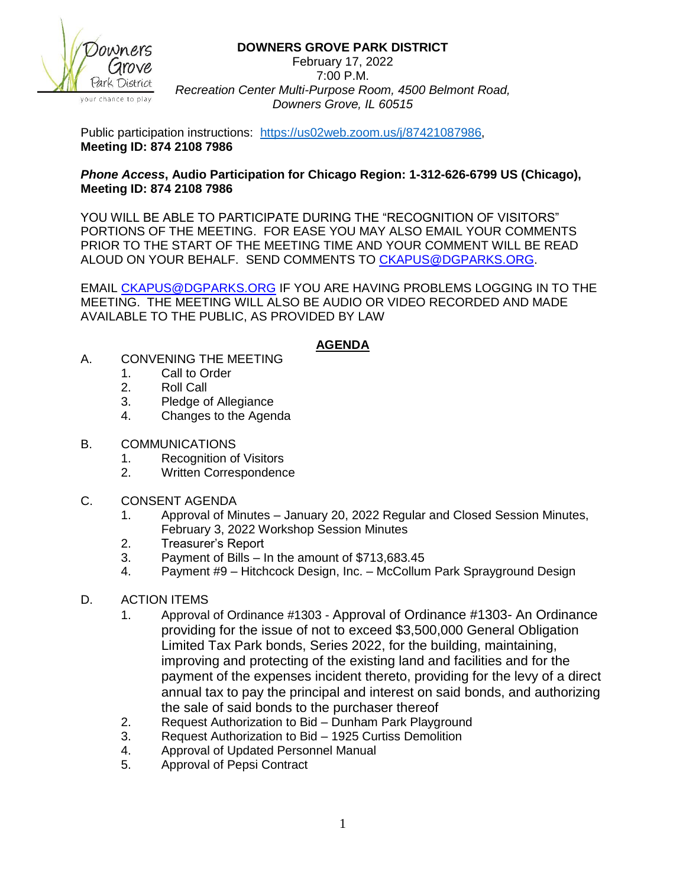

#### **DOWNERS GROVE PARK DISTRICT**

February 17, 2022 7:00 P.M. *Recreation Center Multi-Purpose Room, 4500 Belmont Road, Downers Grove, IL 60515*

Public participation instructions: [https://us02web.zoom.us/j/87421087986,](https://us02web.zoom.us/j/87421087986) **Meeting ID: 874 2108 7986**

### *Phone Access***, Audio Participation for Chicago Region: 1-312-626-6799 US (Chicago), Meeting ID: 874 2108 7986**

YOU WILL BE ABLE TO PARTICIPATE DURING THE "RECOGNITION OF VISITORS" PORTIONS OF THE MEETING. FOR EASE YOU MAY ALSO EMAIL YOUR COMMENTS PRIOR TO THE START OF THE MEETING TIME AND YOUR COMMENT WILL BE READ ALOUD ON YOUR BEHALF. SEND COMMENTS TO [CKAPUS@DGPARKS.ORG.](mailto:CKAPUS@DGPARKS.ORG)

EMAIL [CKAPUS@DGPARKS.ORG](mailto:ckapus@dgparks.org) IF YOU ARE HAVING PROBLEMS LOGGING IN TO THE MEETING. THE MEETING WILL ALSO BE AUDIO OR VIDEO RECORDED AND MADE AVAILABLE TO THE PUBLIC, AS PROVIDED BY LAW

## **AGENDA**

- A. CONVENING THE MEETING
	- 1. Call to Order
	- 2. Roll Call
	- 3. Pledge of Allegiance
	- 4. Changes to the Agenda
- B. COMMUNICATIONS
	- 1. Recognition of Visitors
	- 2. Written Correspondence
- C. CONSENT AGENDA
	- 1. Approval of Minutes January 20, 2022 Regular and Closed Session Minutes, February 3, 2022 Workshop Session Minutes
	- 2. Treasurer's Report
	- 3. Payment of Bills In the amount of \$713,683.45
	- 4. Payment #9 Hitchcock Design, Inc. McCollum Park Sprayground Design

# D. ACTION ITEMS

- 1. Approval of Ordinance #1303 Approval of Ordinance #1303- An Ordinance providing for the issue of not to exceed \$3,500,000 General Obligation Limited Tax Park bonds, Series 2022, for the building, maintaining, improving and protecting of the existing land and facilities and for the payment of the expenses incident thereto, providing for the levy of a direct annual tax to pay the principal and interest on said bonds, and authorizing the sale of said bonds to the purchaser thereof
- 2. Request Authorization to Bid Dunham Park Playground
- 3. Request Authorization to Bid 1925 Curtiss Demolition
- 4. Approval of Updated Personnel Manual
- 5. Approval of Pepsi Contract